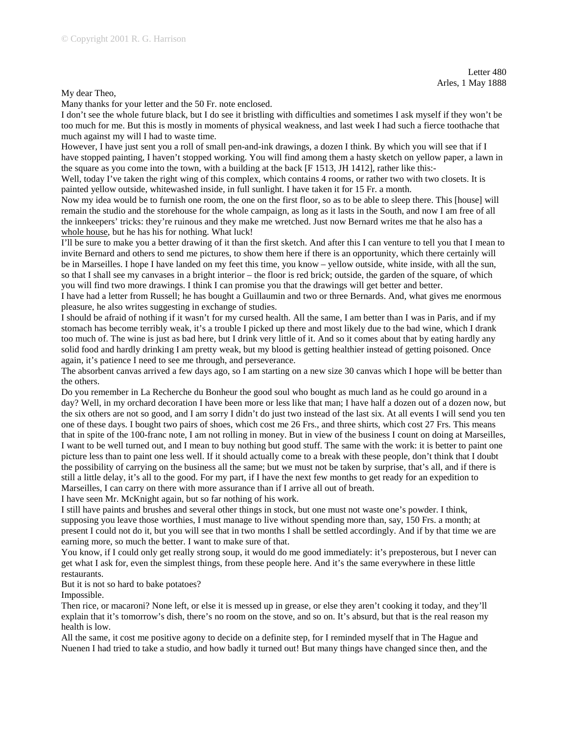Letter 480 Arles, 1 May 1888

My dear Theo,

Many thanks for your letter and the 50 Fr. note enclosed.

I don't see the whole future black, but I do see it bristling with difficulties and sometimes I ask myself if they won't be too much for me. But this is mostly in moments of physical weakness, and last week I had such a fierce toothache that much against my will I had to waste time.

However, I have just sent you a roll of small pen-and-ink drawings, a dozen I think. By which you will see that if I have stopped painting, I haven't stopped working. You will find among them a hasty sketch on yellow paper, a lawn in the square as you come into the town, with a building at the back [F 1513, JH 1412], rather like this:-

Well, today I've taken the right wing of this complex, which contains 4 rooms, or rather two with two closets. It is painted yellow outside, whitewashed inside, in full sunlight. I have taken it for 15 Fr. a month.

Now my idea would be to furnish one room, the one on the first floor, so as to be able to sleep there. This [house] will remain the studio and the storehouse for the whole campaign, as long as it lasts in the South, and now I am free of all the innkeepers' tricks: they're ruinous and they make me wretched. Just now Bernard writes me that he also has a whole house, but he has his for nothing. What luck!

I'll be sure to make you a better drawing of it than the first sketch. And after this I can venture to tell you that I mean to invite Bernard and others to send me pictures, to show them here if there is an opportunity, which there certainly will be in Marseilles. I hope I have landed on my feet this time, you know – yellow outside, white inside, with all the sun, so that I shall see my canvases in a bright interior – the floor is red brick; outside, the garden of the square, of which you will find two more drawings. I think I can promise you that the drawings will get better and better.

I have had a letter from Russell; he has bought a Guillaumin and two or three Bernards. And, what gives me enormous pleasure, he also writes suggesting in exchange of studies.

I should be afraid of nothing if it wasn't for my cursed health. All the same, I am better than I was in Paris, and if my stomach has become terribly weak, it's a trouble I picked up there and most likely due to the bad wine, which I drank too much of. The wine is just as bad here, but I drink very little of it. And so it comes about that by eating hardly any solid food and hardly drinking I am pretty weak, but my blood is getting healthier instead of getting poisoned. Once again, it's patience I need to see me through, and perseverance.

The absorbent canvas arrived a few days ago, so I am starting on a new size 30 canvas which I hope will be better than the others.

Do you remember in La Recherche du Bonheur the good soul who bought as much land as he could go around in a day? Well, in my orchard decoration I have been more or less like that man; I have half a dozen out of a dozen now, but the six others are not so good, and I am sorry I didn't do just two instead of the last six. At all events I will send you ten one of these days. I bought two pairs of shoes, which cost me 26 Frs., and three shirts, which cost 27 Frs. This means that in spite of the 100-franc note, I am not rolling in money. But in view of the business I count on doing at Marseilles, I want to be well turned out, and I mean to buy nothing but good stuff. The same with the work: it is better to paint one picture less than to paint one less well. If it should actually come to a break with these people, don't think that I doubt the possibility of carrying on the business all the same; but we must not be taken by surprise, that's all, and if there is still a little delay, it's all to the good. For my part, if I have the next few months to get ready for an expedition to Marseilles, I can carry on there with more assurance than if I arrive all out of breath.

I have seen Mr. McKnight again, but so far nothing of his work.

I still have paints and brushes and several other things in stock, but one must not waste one's powder. I think, supposing you leave those worthies, I must manage to live without spending more than, say, 150 Frs. a month; at present I could not do it, but you will see that in two months I shall be settled accordingly. And if by that time we are earning more, so much the better. I want to make sure of that.

You know, if I could only get really strong soup, it would do me good immediately: it's preposterous, but I never can get what I ask for, even the simplest things, from these people here. And it's the same everywhere in these little restaurants.

But it is not so hard to bake potatoes?

Impossible.

Then rice, or macaroni? None left, or else it is messed up in grease, or else they aren't cooking it today, and they'll explain that it's tomorrow's dish, there's no room on the stove, and so on. It's absurd, but that is the real reason my health is low.

All the same, it cost me positive agony to decide on a definite step, for I reminded myself that in The Hague and Nuenen I had tried to take a studio, and how badly it turned out! But many things have changed since then, and the